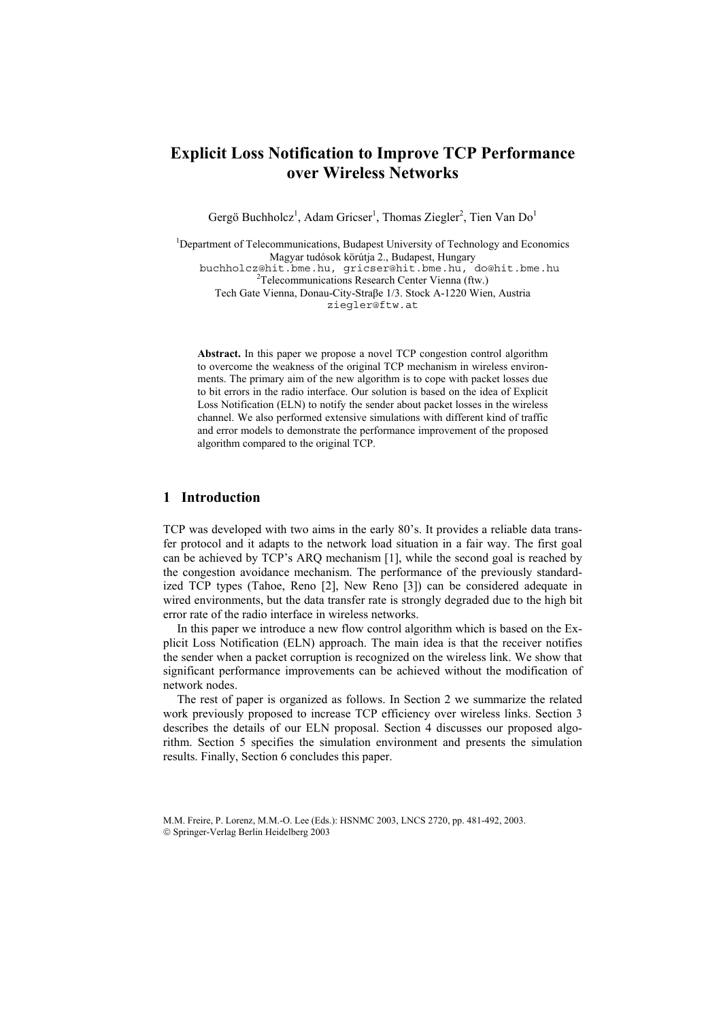# **Explicit Loss Notification to Improve TCP Performance over Wireless Networks**

Gergö Buchholcz<sup>1</sup>, Adam Gricser<sup>1</sup>, Thomas Ziegler<sup>2</sup>, Tien Van Do<sup>1</sup>

<sup>1</sup>Department of Telecommunications, Budapest University of Technology and Economics Magyar tudósok körútja 2., Budapest, Hungary buchholcz@hit.bme.hu, gricser@hit.bme.hu, do@hit.bme.hu <sup>2</sup> <sup>2</sup>Telecommunications Research Center Vienna (ftw.) Tech Gate Vienna, Donau-City-Straβe 1/3. Stock A-1220 Wien, Austria ziegler@ftw.at

**Abstract.** In this paper we propose a novel TCP congestion control algorithm to overcome the weakness of the original TCP mechanism in wireless environments. The primary aim of the new algorithm is to cope with packet losses due to bit errors in the radio interface. Our solution is based on the idea of Explicit Loss Notification (ELN) to notify the sender about packet losses in the wireless channel. We also performed extensive simulations with different kind of traffic and error models to demonstrate the performance improvement of the proposed algorithm compared to the original TCP.

# **1 Introduction**

TCP was developed with two aims in the early 80's. It provides a reliable data transfer protocol and it adapts to the network load situation in a fair way. The first goal can be achieved by  $TCP$ 's ARQ mechanism  $[1]$ , while the second goal is reached by the congestion avoidance mechanism. The performance of the previously standardized TCP types (Tahoe, Reno [2], New Reno [3]) can be considered adequate in wired environments, but the data transfer rate is strongly degraded due to the high bit error rate of the radio interface in wireless networks.

In this paper we introduce a new flow control algorithm which is based on the Explicit Loss Notification (ELN) approach. The main idea is that the receiver notifies the sender when a packet corruption is recognized on the wireless link. We show that significant performance improvements can be achieved without the modification of network nodes.

The rest of paper is organized as follows. In Section 2 we summarize the related work previously proposed to increase TCP efficiency over wireless links. Section 3 describes the details of our ELN proposal. Section 4 discusses our proposed algorithm. Section 5 specifies the simulation environment and presents the simulation results. Finally, Section 6 concludes this paper.

M.M. Freire, P. Lorenz, M.M.-O. Lee (Eds.): HSNMC 2003, LNCS 2720, pp. 481-492, 2003. Springer-Verlag Berlin Heidelberg 2003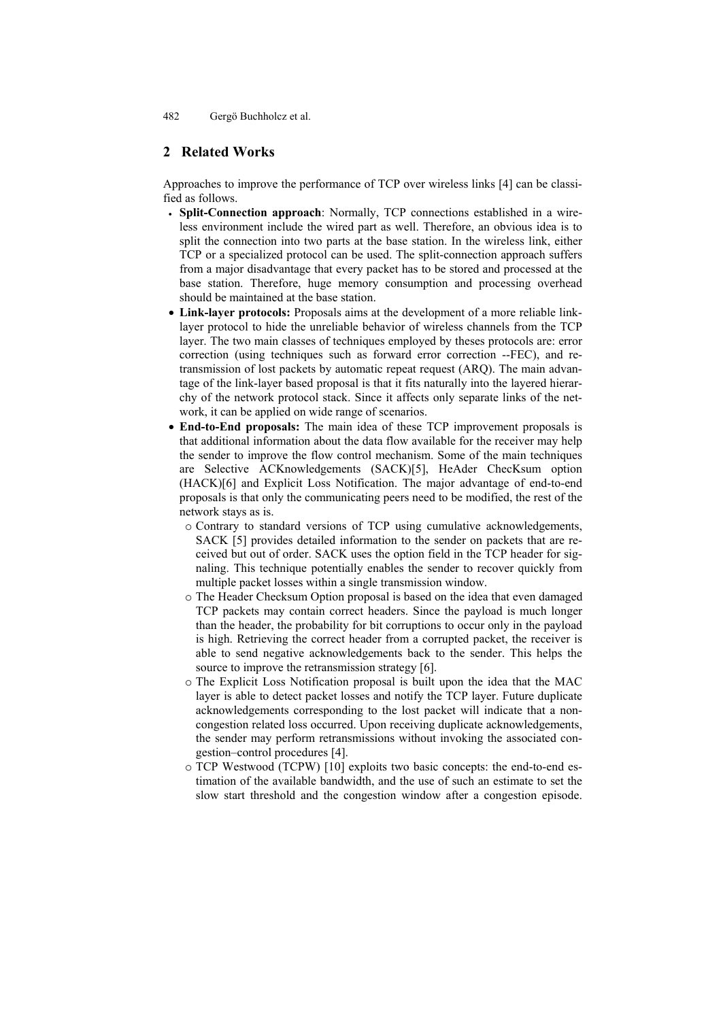# **2 Related Works**

Approaches to improve the performance of TCP over wireless links [4] can be classified as follows.

- **Split-Connection approach**: Normally, TCP connections established in a wireless environment include the wired part as well. Therefore, an obvious idea is to split the connection into two parts at the base station. In the wireless link, either TCP or a specialized protocol can be used. The split-connection approach suffers from a major disadvantage that every packet has to be stored and processed at the base station. Therefore, huge memory consumption and processing overhead should be maintained at the base station.
- **Link-layer protocols:** Proposals aims at the development of a more reliable linklayer protocol to hide the unreliable behavior of wireless channels from the TCP layer. The two main classes of techniques employed by theses protocols are: error correction (using techniques such as forward error correction --FEC), and retransmission of lost packets by automatic repeat request (ARQ). The main advantage of the link-layer based proposal is that it fits naturally into the layered hierarchy of the network protocol stack. Since it affects only separate links of the network, it can be applied on wide range of scenarios.
- **End-to-End proposals:** The main idea of these TCP improvement proposals is that additional information about the data flow available for the receiver may help the sender to improve the flow control mechanism. Some of the main techniques are Selective ACKnowledgements (SACK)[5], HeAder ChecKsum option (HACK)[6] and Explicit Loss Notification. The major advantage of end-to-end proposals is that only the communicating peers need to be modified, the rest of the network stays as is.
	- o Contrary to standard versions of TCP using cumulative acknowledgements, SACK [5] provides detailed information to the sender on packets that are received but out of order. SACK uses the option field in the TCP header for signaling. This technique potentially enables the sender to recover quickly from multiple packet losses within a single transmission window.
	- o The Header Checksum Option proposal is based on the idea that even damaged TCP packets may contain correct headers. Since the payload is much longer than the header, the probability for bit corruptions to occur only in the payload is high. Retrieving the correct header from a corrupted packet, the receiver is able to send negative acknowledgements back to the sender. This helps the source to improve the retransmission strategy [6].
	- o The Explicit Loss Notification proposal is built upon the idea that the MAC layer is able to detect packet losses and notify the TCP layer. Future duplicate acknowledgements corresponding to the lost packet will indicate that a noncongestion related loss occurred. Upon receiving duplicate acknowledgements, the sender may perform retransmissions without invoking the associated congestion-control procedures [4].
	- o TCP Westwood (TCPW) [10] exploits two basic concepts: the end-to-end estimation of the available bandwidth, and the use of such an estimate to set the slow start threshold and the congestion window after a congestion episode.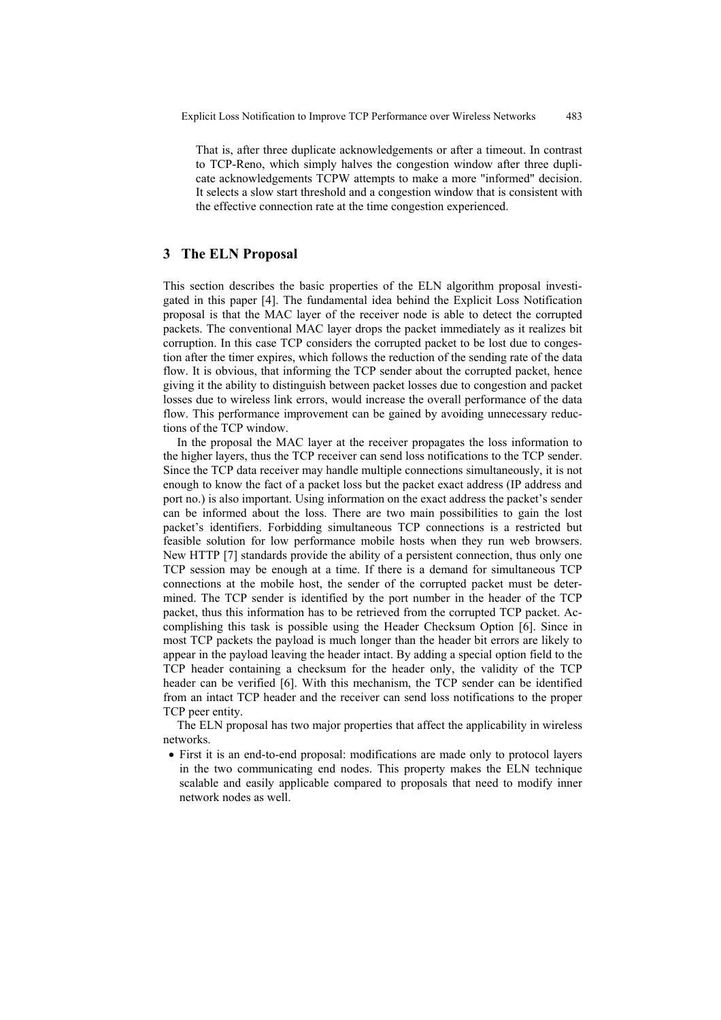That is, after three duplicate acknowledgements or after a timeout. In contrast to TCP-Reno, which simply halves the congestion window after three duplicate acknowledgements TCPW attempts to make a more "informed" decision. It selects a slow start threshold and a congestion window that is consistent with the effective connection rate at the time congestion experienced.

## **3 The ELN Proposal**

This section describes the basic properties of the ELN algorithm proposal investigated in this paper [4]. The fundamental idea behind the Explicit Loss Notification proposal is that the MAC layer of the receiver node is able to detect the corrupted packets. The conventional MAC layer drops the packet immediately as it realizes bit corruption. In this case TCP considers the corrupted packet to be lost due to congestion after the timer expires, which follows the reduction of the sending rate of the data flow. It is obvious, that informing the TCP sender about the corrupted packet, hence giving it the ability to distinguish between packet losses due to congestion and packet losses due to wireless link errors, would increase the overall performance of the data flow. This performance improvement can be gained by avoiding unnecessary reductions of the TCP window.

In the proposal the MAC layer at the receiver propagates the loss information to the higher layers, thus the TCP receiver can send loss notifications to the TCP sender. Since the TCP data receiver may handle multiple connections simultaneously, it is not enough to know the fact of a packet loss but the packet exact address (IP address and port no.) is also important. Using information on the exact address the packet's sender can be informed about the loss. There are two main possibilities to gain the lost packetís identifiers. Forbidding simultaneous TCP connections is a restricted but feasible solution for low performance mobile hosts when they run web browsers. New HTTP [7] standards provide the ability of a persistent connection, thus only one TCP session may be enough at a time. If there is a demand for simultaneous TCP connections at the mobile host, the sender of the corrupted packet must be determined. The TCP sender is identified by the port number in the header of the TCP packet, thus this information has to be retrieved from the corrupted TCP packet. Accomplishing this task is possible using the Header Checksum Option [6]. Since in most TCP packets the payload is much longer than the header bit errors are likely to appear in the payload leaving the header intact. By adding a special option field to the TCP header containing a checksum for the header only, the validity of the TCP header can be verified [6]. With this mechanism, the TCP sender can be identified from an intact TCP header and the receiver can send loss notifications to the proper TCP peer entity.

The ELN proposal has two major properties that affect the applicability in wireless networks.

• First it is an end-to-end proposal: modifications are made only to protocol layers in the two communicating end nodes. This property makes the ELN technique scalable and easily applicable compared to proposals that need to modify inner network nodes as well.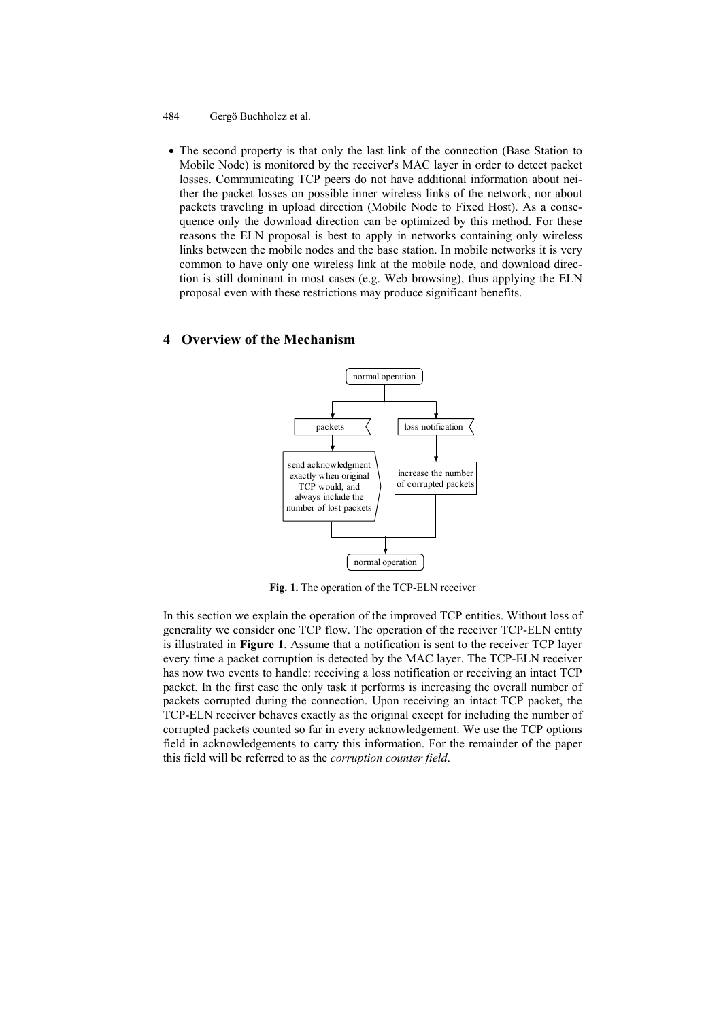• The second property is that only the last link of the connection (Base Station to Mobile Node) is monitored by the receiver's MAC layer in order to detect packet losses. Communicating TCP peers do not have additional information about neither the packet losses on possible inner wireless links of the network, nor about packets traveling in upload direction (Mobile Node to Fixed Host). As a consequence only the download direction can be optimized by this method. For these reasons the ELN proposal is best to apply in networks containing only wireless links between the mobile nodes and the base station. In mobile networks it is very common to have only one wireless link at the mobile node, and download direction is still dominant in most cases (e.g. Web browsing), thus applying the ELN proposal even with these restrictions may produce significant benefits.

## **4 Overview of the Mechanism**



**Fig. 1.** The operation of the TCP-ELN receiver

In this section we explain the operation of the improved TCP entities. Without loss of generality we consider one TCP flow. The operation of the receiver TCP-ELN entity is illustrated in **Figure 1**. Assume that a notification is sent to the receiver TCP layer every time a packet corruption is detected by the MAC layer. The TCP-ELN receiver has now two events to handle: receiving a loss notification or receiving an intact TCP packet. In the first case the only task it performs is increasing the overall number of packets corrupted during the connection. Upon receiving an intact TCP packet, the TCP-ELN receiver behaves exactly as the original except for including the number of corrupted packets counted so far in every acknowledgement. We use the TCP options field in acknowledgements to carry this information. For the remainder of the paper this field will be referred to as the *corruption counter field*.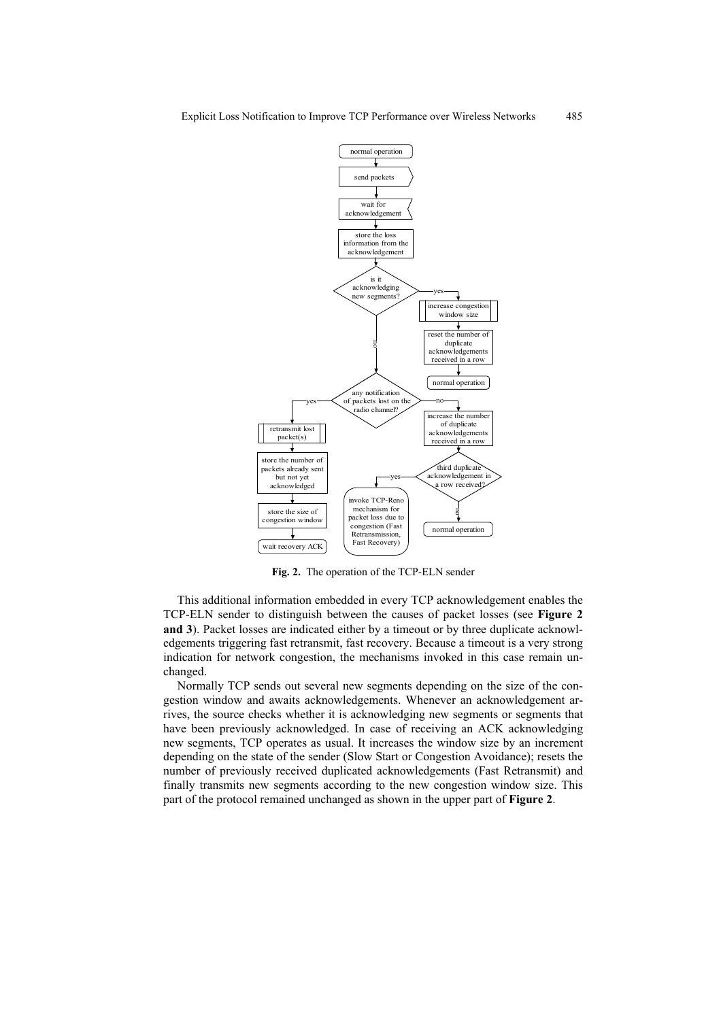

**Fig. 2.** The operation of the TCP-ELN sender

This additional information embedded in every TCP acknowledgement enables the TCP-ELN sender to distinguish between the causes of packet losses (see **Figure 2 and 3**). Packet losses are indicated either by a timeout or by three duplicate acknowledgements triggering fast retransmit, fast recovery. Because a timeout is a very strong indication for network congestion, the mechanisms invoked in this case remain unchanged.

Normally TCP sends out several new segments depending on the size of the congestion window and awaits acknowledgements. Whenever an acknowledgement arrives, the source checks whether it is acknowledging new segments or segments that have been previously acknowledged. In case of receiving an ACK acknowledging new segments, TCP operates as usual. It increases the window size by an increment depending on the state of the sender (Slow Start or Congestion Avoidance); resets the number of previously received duplicated acknowledgements (Fast Retransmit) and finally transmits new segments according to the new congestion window size. This part of the protocol remained unchanged as shown in the upper part of **Figure 2**.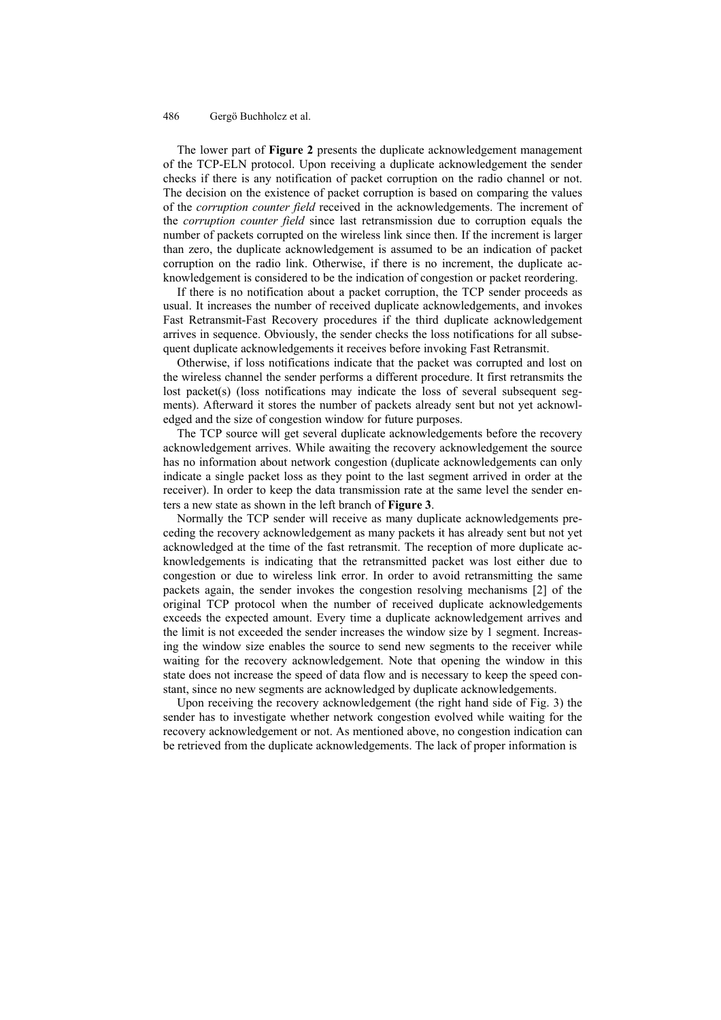The lower part of **Figure 2** presents the duplicate acknowledgement management of the TCP-ELN protocol. Upon receiving a duplicate acknowledgement the sender checks if there is any notification of packet corruption on the radio channel or not. The decision on the existence of packet corruption is based on comparing the values of the *corruption counter field* received in the acknowledgements. The increment of the *corruption counter field* since last retransmission due to corruption equals the number of packets corrupted on the wireless link since then. If the increment is larger than zero, the duplicate acknowledgement is assumed to be an indication of packet corruption on the radio link. Otherwise, if there is no increment, the duplicate acknowledgement is considered to be the indication of congestion or packet reordering.

If there is no notification about a packet corruption, the TCP sender proceeds as usual. It increases the number of received duplicate acknowledgements, and invokes Fast Retransmit-Fast Recovery procedures if the third duplicate acknowledgement arrives in sequence. Obviously, the sender checks the loss notifications for all subsequent duplicate acknowledgements it receives before invoking Fast Retransmit.

Otherwise, if loss notifications indicate that the packet was corrupted and lost on the wireless channel the sender performs a different procedure. It first retransmits the lost packet(s) (loss notifications may indicate the loss of several subsequent segments). Afterward it stores the number of packets already sent but not yet acknowledged and the size of congestion window for future purposes.

The TCP source will get several duplicate acknowledgements before the recovery acknowledgement arrives. While awaiting the recovery acknowledgement the source has no information about network congestion (duplicate acknowledgements can only indicate a single packet loss as they point to the last segment arrived in order at the receiver). In order to keep the data transmission rate at the same level the sender enters a new state as shown in the left branch of **Figure 3**.

Normally the TCP sender will receive as many duplicate acknowledgements preceding the recovery acknowledgement as many packets it has already sent but not yet acknowledged at the time of the fast retransmit. The reception of more duplicate acknowledgements is indicating that the retransmitted packet was lost either due to congestion or due to wireless link error. In order to avoid retransmitting the same packets again, the sender invokes the congestion resolving mechanisms [2] of the original TCP protocol when the number of received duplicate acknowledgements exceeds the expected amount. Every time a duplicate acknowledgement arrives and the limit is not exceeded the sender increases the window size by 1 segment. Increasing the window size enables the source to send new segments to the receiver while waiting for the recovery acknowledgement. Note that opening the window in this state does not increase the speed of data flow and is necessary to keep the speed constant, since no new segments are acknowledged by duplicate acknowledgements.

Upon receiving the recovery acknowledgement (the right hand side of Fig. 3) the sender has to investigate whether network congestion evolved while waiting for the recovery acknowledgement or not. As mentioned above, no congestion indication can be retrieved from the duplicate acknowledgements. The lack of proper information is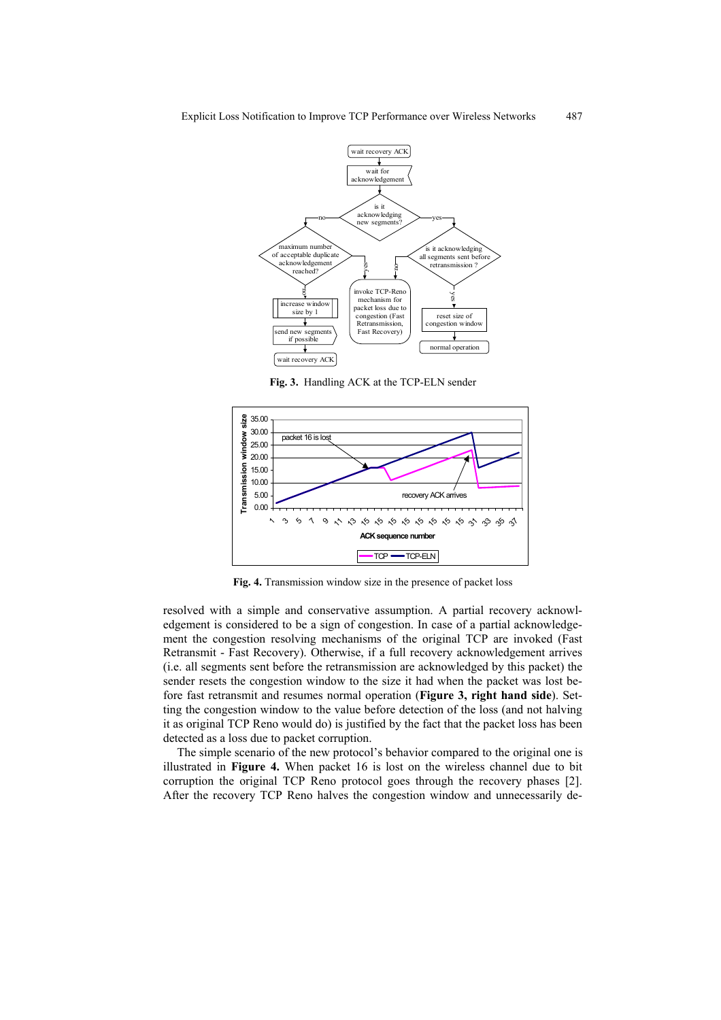

**Fig. 3.** Handling ACK at the TCP-ELN sender



**Fig. 4.** Transmission window size in the presence of packet loss

resolved with a simple and conservative assumption. A partial recovery acknowledgement is considered to be a sign of congestion. In case of a partial acknowledgement the congestion resolving mechanisms of the original TCP are invoked (Fast Retransmit - Fast Recovery). Otherwise, if a full recovery acknowledgement arrives (i.e. all segments sent before the retransmission are acknowledged by this packet) the sender resets the congestion window to the size it had when the packet was lost before fast retransmit and resumes normal operation (**Figure 3, right hand side**). Setting the congestion window to the value before detection of the loss (and not halving it as original TCP Reno would do) is justified by the fact that the packet loss has been detected as a loss due to packet corruption.

The simple scenario of the new protocol's behavior compared to the original one is illustrated in **Figure 4.** When packet 16 is lost on the wireless channel due to bit corruption the original TCP Reno protocol goes through the recovery phases [2]. After the recovery TCP Reno halves the congestion window and unnecessarily de-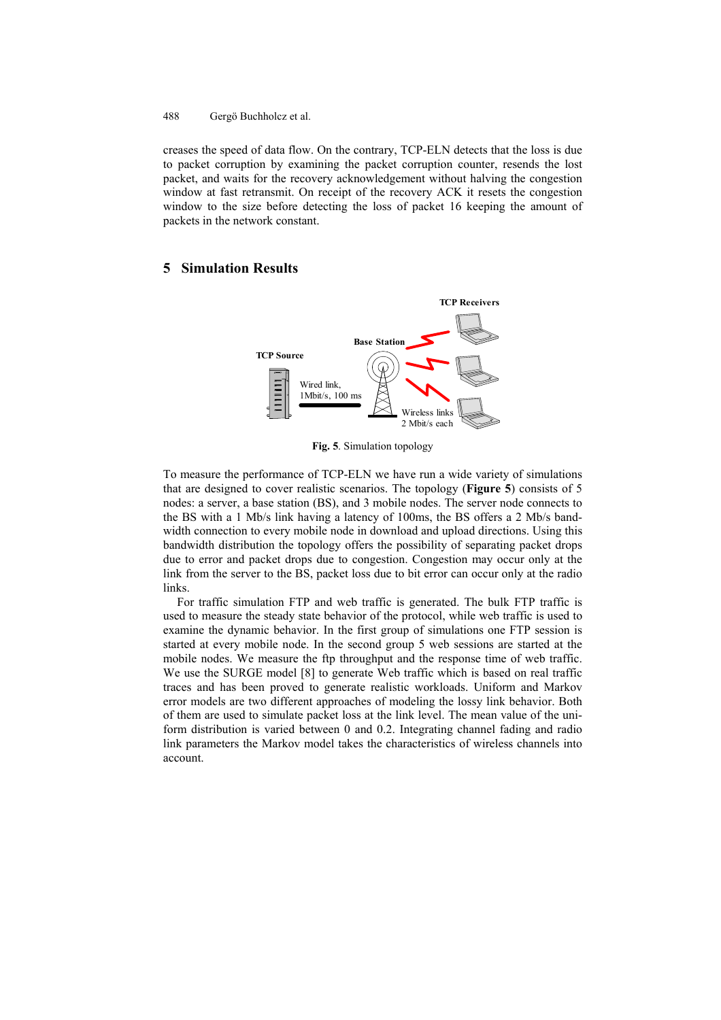creases the speed of data flow. On the contrary, TCP-ELN detects that the loss is due to packet corruption by examining the packet corruption counter, resends the lost packet, and waits for the recovery acknowledgement without halving the congestion window at fast retransmit. On receipt of the recovery ACK it resets the congestion window to the size before detecting the loss of packet 16 keeping the amount of packets in the network constant.

### **5 Simulation Results**



**Fig. 5**. Simulation topology

To measure the performance of TCP-ELN we have run a wide variety of simulations that are designed to cover realistic scenarios. The topology (**Figure 5**) consists of 5 nodes: a server, a base station (BS), and 3 mobile nodes. The server node connects to the BS with a 1 Mb/s link having a latency of 100ms, the BS offers a 2 Mb/s bandwidth connection to every mobile node in download and upload directions. Using this bandwidth distribution the topology offers the possibility of separating packet drops due to error and packet drops due to congestion. Congestion may occur only at the link from the server to the BS, packet loss due to bit error can occur only at the radio links.

For traffic simulation FTP and web traffic is generated. The bulk FTP traffic is used to measure the steady state behavior of the protocol, while web traffic is used to examine the dynamic behavior. In the first group of simulations one FTP session is started at every mobile node. In the second group 5 web sessions are started at the mobile nodes. We measure the ftp throughput and the response time of web traffic. We use the SURGE model [8] to generate Web traffic which is based on real traffic traces and has been proved to generate realistic workloads. Uniform and Markov error models are two different approaches of modeling the lossy link behavior. Both of them are used to simulate packet loss at the link level. The mean value of the uniform distribution is varied between 0 and 0.2. Integrating channel fading and radio link parameters the Markov model takes the characteristics of wireless channels into account.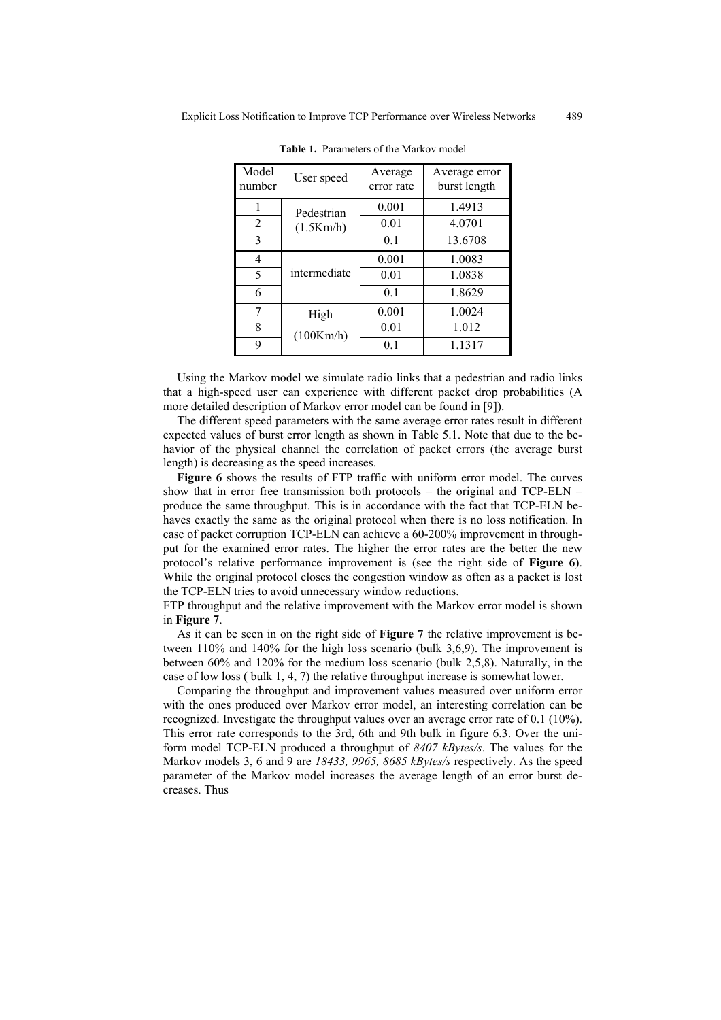| Model<br>number | User speed              | Average<br>error rate | Average error<br>burst length |
|-----------------|-------------------------|-----------------------|-------------------------------|
| 1               | Pedestrian<br>(1.5Km/h) | 0.001                 | 1.4913                        |
| $\overline{2}$  |                         | 0.01                  | 4.0701                        |
| 3               |                         | 0 <sub>1</sub>        | 13.6708                       |
| 4               | intermediate            | 0.001                 | 1.0083                        |
| 5               |                         | 0.01                  | 1.0838                        |
| 6               |                         | 0.1                   | 1.8629                        |
| 7               | High<br>(100Km/h)       | 0.001                 | 1.0024                        |
| 8               |                         | 0.01                  | 1.012                         |
| 9               |                         | 0.1                   | 1.1317                        |

**Table 1.** Parameters of the Markov model

Using the Markov model we simulate radio links that a pedestrian and radio links that a high-speed user can experience with different packet drop probabilities (A more detailed description of Markov error model can be found in [9]).

The different speed parameters with the same average error rates result in different expected values of burst error length as shown in Table 5.1. Note that due to the behavior of the physical channel the correlation of packet errors (the average burst length) is decreasing as the speed increases.

**Figure 6** shows the results of FTP traffic with uniform error model. The curves show that in error free transmission both protocols – the original and  $TCP-ELN$ produce the same throughput. This is in accordance with the fact that TCP-ELN behaves exactly the same as the original protocol when there is no loss notification. In case of packet corruption TCP-ELN can achieve a 60-200% improvement in throughput for the examined error rates. The higher the error rates are the better the new protocol's relative performance improvement is (see the right side of **Figure 6**). While the original protocol closes the congestion window as often as a packet is lost the TCP-ELN tries to avoid unnecessary window reductions.

FTP throughput and the relative improvement with the Markov error model is shown in **Figure 7**.

As it can be seen in on the right side of **Figure 7** the relative improvement is between 110% and 140% for the high loss scenario (bulk 3,6,9). The improvement is between 60% and 120% for the medium loss scenario (bulk 2,5,8). Naturally, in the case of low loss ( bulk 1, 4, 7) the relative throughput increase is somewhat lower.

Comparing the throughput and improvement values measured over uniform error with the ones produced over Markov error model, an interesting correlation can be recognized. Investigate the throughput values over an average error rate of 0.1 (10%). This error rate corresponds to the 3rd, 6th and 9th bulk in figure 6.3. Over the uniform model TCP-ELN produced a throughput of *8407 kBytes/s*. The values for the Markov models 3, 6 and 9 are *18433, 9965, 8685 kBytes/s* respectively. As the speed parameter of the Markov model increases the average length of an error burst decreases. Thus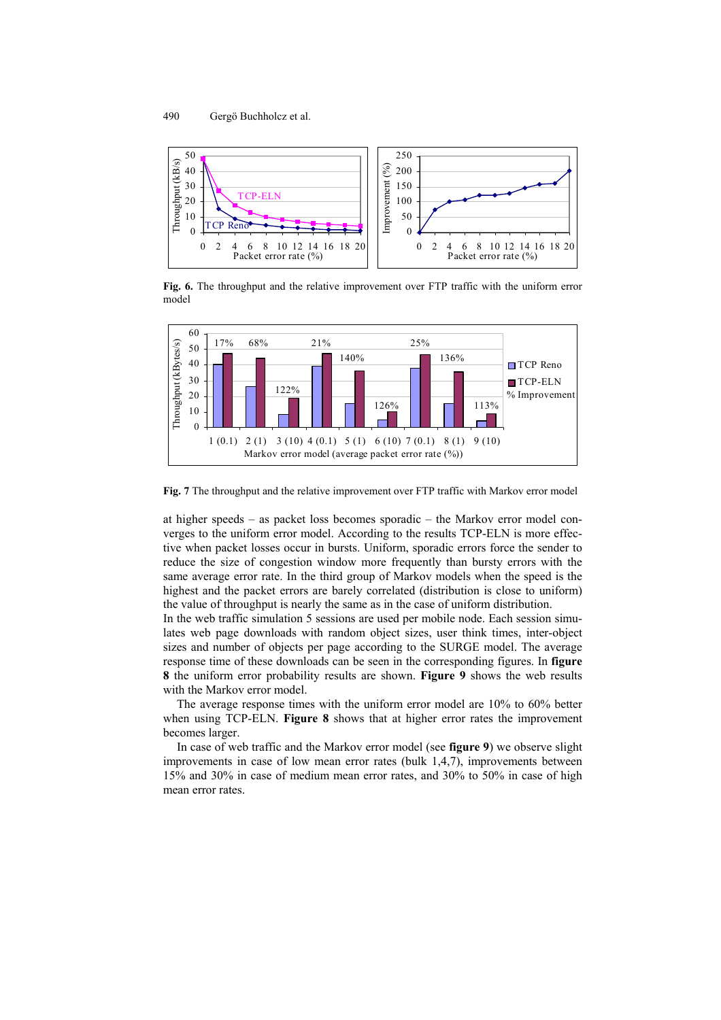

**Fig. 6.** The throughput and the relative improvement over FTP traffic with the uniform error model



**Fig. 7** The throughput and the relative improvement over FTP traffic with Markov error model

at higher speeds  $-$  as packet loss becomes sporadic  $-$  the Markov error model converges to the uniform error model. According to the results TCP-ELN is more effective when packet losses occur in bursts. Uniform, sporadic errors force the sender to reduce the size of congestion window more frequently than bursty errors with the same average error rate. In the third group of Markov models when the speed is the highest and the packet errors are barely correlated (distribution is close to uniform) the value of throughput is nearly the same as in the case of uniform distribution.

In the web traffic simulation 5 sessions are used per mobile node. Each session simulates web page downloads with random object sizes, user think times, inter-object sizes and number of objects per page according to the SURGE model. The average response time of these downloads can be seen in the corresponding figures. In **figure 8** the uniform error probability results are shown. **Figure 9** shows the web results with the Markov error model.

The average response times with the uniform error model are 10% to 60% better when using TCP-ELN. **Figure 8** shows that at higher error rates the improvement becomes larger.

In case of web traffic and the Markov error model (see **figure 9**) we observe slight improvements in case of low mean error rates (bulk 1,4,7), improvements between 15% and 30% in case of medium mean error rates, and 30% to 50% in case of high mean error rates.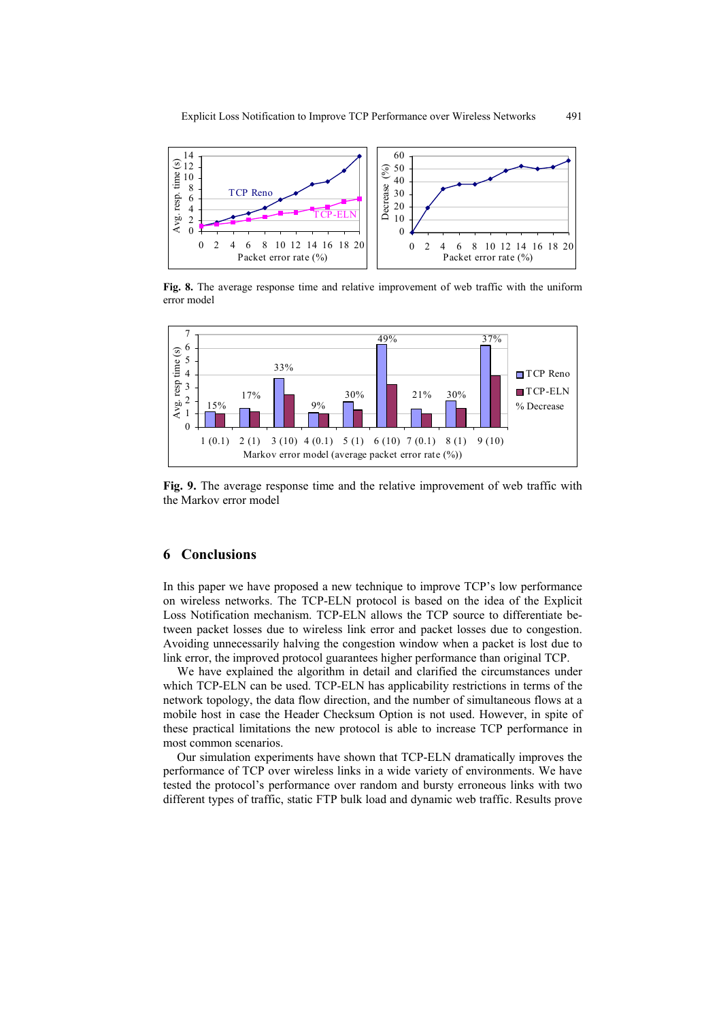

**Fig. 8.** The average response time and relative improvement of web traffic with the uniform error model



**Fig. 9.** The average response time and the relative improvement of web traffic with the Markov error model

### **6 Conclusions**

In this paper we have proposed a new technique to improve TCP's low performance on wireless networks. The TCP-ELN protocol is based on the idea of the Explicit Loss Notification mechanism. TCP-ELN allows the TCP source to differentiate between packet losses due to wireless link error and packet losses due to congestion. Avoiding unnecessarily halving the congestion window when a packet is lost due to link error, the improved protocol guarantees higher performance than original TCP.

We have explained the algorithm in detail and clarified the circumstances under which TCP-ELN can be used. TCP-ELN has applicability restrictions in terms of the network topology, the data flow direction, and the number of simultaneous flows at a mobile host in case the Header Checksum Option is not used. However, in spite of these practical limitations the new protocol is able to increase TCP performance in most common scenarios.

Our simulation experiments have shown that TCP-ELN dramatically improves the performance of TCP over wireless links in a wide variety of environments. We have tested the protocol's performance over random and bursty erroneous links with two different types of traffic, static FTP bulk load and dynamic web traffic. Results prove